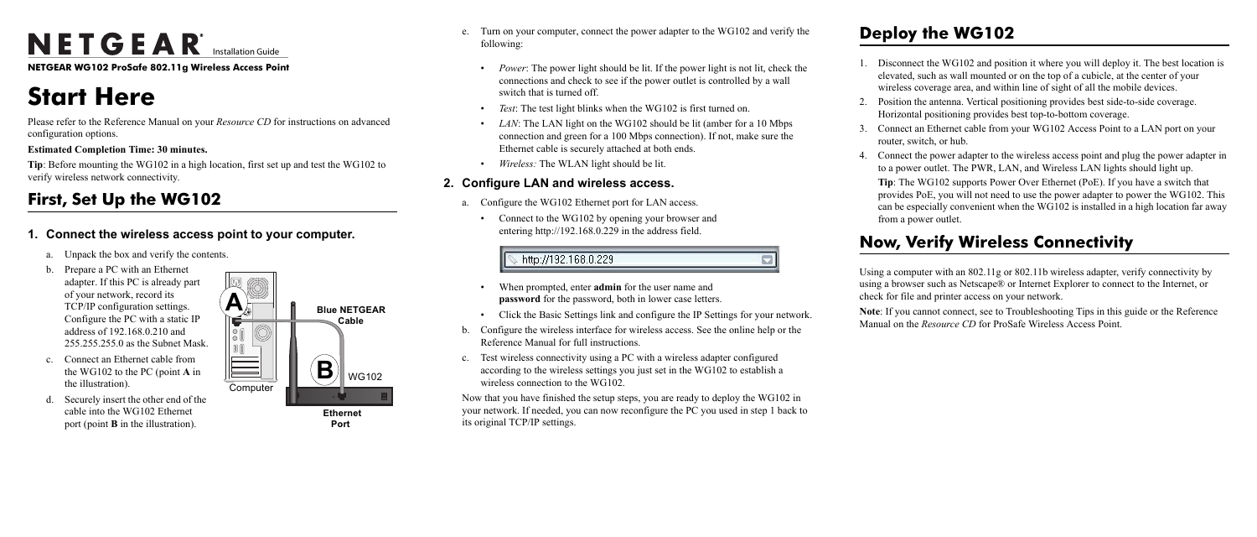# NETGEAR<sup>®</sup> Installation Guide

**NETGEAR WG102 ProSafe 802.11g Wireless Access Point**

# **Start Here**

Please refer to the Reference Manual on your *Resource CD* for instructions on advanced configuration options.

#### **Estimated Completion Time: 30 minutes.**

**Tip**: Before mounting the WG102 in a high location, first set up and test the WG102 to verify wireless network connectivity.

## **First, Set Up the WG102**

## **1. Connect the wireless access point to your computer.**



**Port** 

- a. Unpack the box and verify the contents.
- b. Prepare a PC with an Ethernet adapter. If this PC is already part of your network, record its TCP/IP configuration settings. Configure the PC with a static IP address of 192.168.0.210 and 255.255.255.0 as the Subnet Mask.
- c. Connect an Ethernet cable from the WG102 to the PC (point **A** in the illustration).
- d. Securely insert the other end of the cable into the WG102 Ethernet port (point **B** in the illustration).
- e. Turn on your computer, connect the power adapter to the WG102 and verify the following:
	- *Power*: The power light should be lit. If the power light is not lit, check the connections and check to see if the power outlet is controlled by a wall switch that is turned off.
	- *Test*: The test light blinks when the WG102 is first turned on.
	- LAN: The LAN light on the WG102 should be lit (amber for a 10 Mbps) connection and green for a 100 Mbps connection). If not, make sure the Ethernet cable is securely attached at both ends.
	- *Wireless:* The WLAN light should be lit.

Disconnect the WG102 and position it where you will deploy it. The best location is elevated, such as wall mounted or on the top of a cubicle, at the center of your wireless coverage area, and within line of sight of all the mobile devices.

4. Connect the power adapter to the wireless access point and plug the power adapter in to a power outlet. The PWR, LAN, and Wireless LAN lights should light up.

## **2. Configure LAN and wireless access.**

- a. Configure the WG102 Ethernet port for LAN access.
	- Connect to the WG102 by opening your browser and entering http://192.168.0.229 in the address field.

## http://192.168.0.229

- When prompted, enter **admin** for the user name and **password** for the password, both in lower case letters.
- Click the Basic Settings link and configure the IP Settings for your network.
- b. Configure the wireless interface for wireless access. See the online help or the Reference Manual for full instructions.
- c. Test wireless connectivity using a PC with a wireless adapter configured according to the wireless settings you just set in the WG102 to establish a wireless connection to the WG102.

Now that you have finished the setup steps, you are ready to deploy the WG102 in your network. If needed, you can now reconfigure the PC you used in step 1 back to its original TCP/IP settings.

## **Deploy the WG102**

2. Position the antenna. Vertical positioning provides best side-to-side coverage. Horizontal positioning provides best top-to-bottom coverage.

3. Connect an Ethernet cable from your WG102 Access Point to a LAN port on your

- 
- 
- router, switch, or hub.
	- from a power outlet.

**Tip**: The WG102 supports Power Over Ethernet (PoE). If you have a switch that provides PoE, you will not need to use the power adapter to power the WG102. This can be especially convenient when the WG102 is installed in a high location far away

## **Now, Verify Wireless Connectivity**

Using a computer with an 802.11g or 802.11b wireless adapter, verify connectivity by using a browser such as Netscape® or Internet Explorer to connect to the Internet, or check for file and printer access on your network.

**Note**: If you cannot connect, see to Troubleshooting Tips in this guide or the Reference Manual on the *Resource CD* for ProSafe Wireless Access Point.